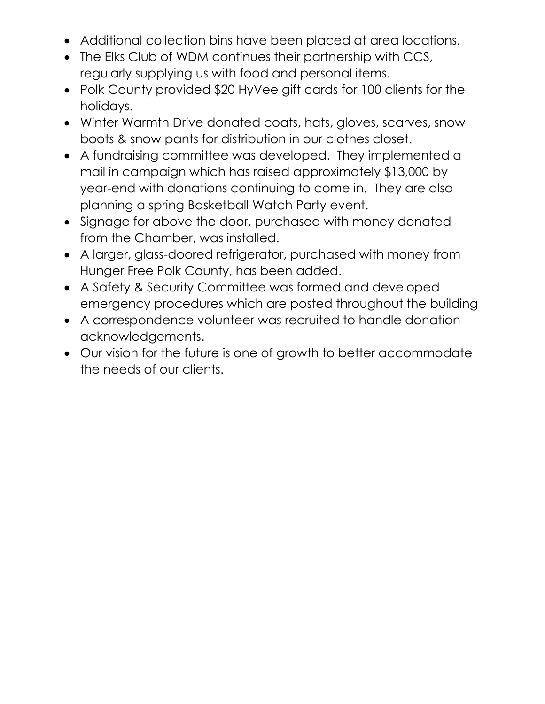- Additional collection bins have been placed at area locations.
- The Elks Club of WDM continues their partnership with CCS, regularly supplying us with food and personal items.
- Polk County provided \$20 HyVee gift cards for 100 clients for the holidays.
- Winter Warmth Drive donated coats, hats, gloves, scarves, snow boots & snow pants for distribution in our clothes closet.
- A fundraising committee was developed. They implemented a mail in campaign which has raised approximately \$13,000 by year-end with donations continuing to come in. They are also planning a spring Basketball Watch Party event.
- Signage for above the door, purchased with money donated from the Chamber, was installed.
- A larger, glass-doored refrigerator, purchased with money from Hunger Free Polk County, has been added.
- A Safety & Security Committee was formed and developed emergency procedures which are posted throughout the building
- A correspondence volunteer was recruited to handle donation acknowledgements.
- Our vision for the future is one of growth to better accommodate the needs of our clients.